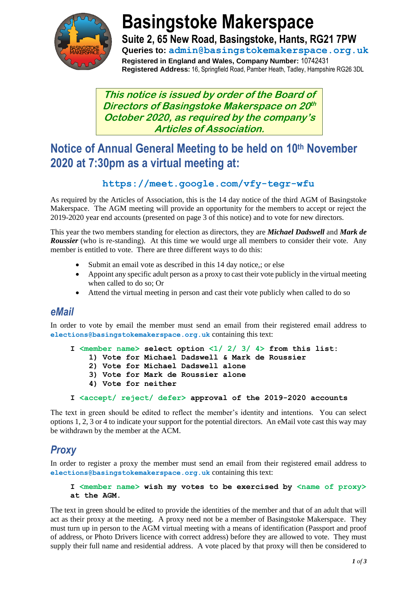

# **Basingstoke Makerspace**

**Suite 2, 65 New Road, Basingstoke, Hants, RG21 7PW Queries to: admin@basingstokemakerspace.org.uk Registered in England and Wales, Company Number:** 10742431 **Registered Address:** 16, Springfield Road, Pamber Heath, Tadley, Hampshire RG26 3DL

**This notice is issued by order of the Board of Directors of Basingstoke Makerspace on 20 th October 2020, as required by the company's Articles of Association.**

## **Notice of Annual General Meeting to be held on 10th November 2020 at 7:30pm as a virtual meeting at:**

#### **https://meet.google.com/vfy-tegr-wfu**

As required by the Articles of Association, this is the 14 day notice of the third AGM of Basingstoke Makerspace. The AGM meeting will provide an opportunity for the members to accept or reject the 2019-2020 year end accounts (presented on page 3 of this notice) and to vote for new directors.

This year the two members standing for election as directors, they are *Michael Dadswell* and *Mark de Roussier* (who is re-standing). At this time we would urge all members to consider their vote. Any member is entitled to vote. There are three different ways to do this:

- Submit an email vote as described in this 14 day notice,; or else
- Appoint any specific adult person as a proxy to cast their vote publicly in the virtual meeting when called to do so; Or
- Attend the virtual meeting in person and cast their vote publicly when called to do so

#### *eMail*

In order to vote by email the member must send an email from their registered email address to **elections@basingstokemakerspace.org.uk** containing this text:

```
I <member name> select option <1/ 2/ 3/ 4> from this list:
     1) Vote for Michael Dadswell & Mark de Roussier
     2) Vote for Michael Dadswell alone
     3) Vote for Mark de Roussier alone
     4) Vote for neither
I <accept/ reject/ defer> approval of the 2019-2020 accounts
```
The text in green should be edited to reflect the member's identity and intentions. You can select options 1, 2, 3 or 4 to indicate your support for the potential directors. An eMail vote cast this way may be withdrawn by the member at the ACM.

### *Proxy*

In order to register a proxy the member must send an email from their registered email address to **elections@basingstokemakerspace.org.uk** containing this text:

#### **I <member name> wish my votes to be exercised by <name of proxy> at the AGM.**

The text in green should be edited to provide the identities of the member and that of an adult that will act as their proxy at the meeting. A proxy need not be a member of Basingstoke Makerspace. They must turn up in person to the AGM virtual meeting with a means of identification (Passport and proof of address, or Photo Drivers licence with correct address) before they are allowed to vote. They must supply their full name and residential address. A vote placed by that proxy will then be considered to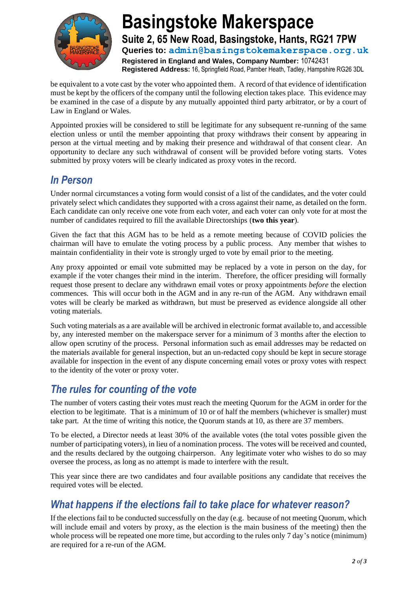

# **Basingstoke Makerspace Suite 2, 65 New Road, Basingstoke, Hants, RG21 7PW**

**Queries to: admin@basingstokemakerspace.org.uk Registered in England and Wales, Company Number:** 10742431 **Registered Address:** 16, Springfield Road, Pamber Heath, Tadley, Hampshire RG26 3DL

be equivalent to a vote cast by the voter who appointed them. A record of that evidence of identification must be kept by the officers of the company until the following election takes place. This evidence may be examined in the case of a dispute by any mutually appointed third party arbitrator, or by a court of Law in England or Wales.

Appointed proxies will be considered to still be legitimate for any subsequent re-running of the same election unless or until the member appointing that proxy withdraws their consent by appearing in person at the virtual meeting and by making their presence and withdrawal of that consent clear. An opportunity to declare any such withdrawal of consent will be provided before voting starts. Votes submitted by proxy voters will be clearly indicated as proxy votes in the record.

#### *In Person*

Under normal circumstances a voting form would consist of a list of the candidates, and the voter could privately select which candidates they supported with a cross against their name, as detailed on the form. Each candidate can only receive one vote from each voter, and each voter can only vote for at most the number of candidates required to fill the available Directorships (**two this year**).

Given the fact that this AGM has to be held as a remote meeting because of COVID policies the chairman will have to emulate the voting process by a public process. Any member that wishes to maintain confidentiality in their vote is strongly urged to vote by email prior to the meeting.

Any proxy appointed or email vote submitted may be replaced by a vote in person on the day, for example if the voter changes their mind in the interim. Therefore, the officer presiding will formally request those present to declare any withdrawn email votes or proxy appointments *before* the election commences. This will occur both in the AGM and in any re-run of the AGM. Any withdrawn email votes will be clearly be marked as withdrawn, but must be preserved as evidence alongside all other voting materials.

Such voting materials as a are available will be archived in electronic format available to, and accessible by, any interested member on the makerspace server for a minimum of 3 months after the election to allow open scrutiny of the process. Personal information such as email addresses may be redacted on the materials available for general inspection, but an un-redacted copy should be kept in secure storage available for inspection in the event of any dispute concerning email votes or proxy votes with respect to the identity of the voter or proxy voter.

### *The rules for counting of the vote*

The number of voters casting their votes must reach the meeting Quorum for the AGM in order for the election to be legitimate. That is a minimum of 10 or of half the members (whichever is smaller) must take part. At the time of writing this notice, the Quorum stands at 10, as there are 37 members.

To be elected, a Director needs at least 30% of the available votes (the total votes possible given the number of participating voters), in lieu of a nomination process. The votes will be received and counted, and the results declared by the outgoing chairperson. Any legitimate voter who wishes to do so may oversee the process, as long as no attempt is made to interfere with the result.

This year since there are two candidates and four available positions any candidate that receives the required votes will be elected.

### *What happens if the elections fail to take place for whatever reason?*

If the elections fail to be conducted successfully on the day (e.g. because of not meeting Quorum, which will include email and voters by proxy, as the election is the main business of the meeting) then the whole process will be repeated one more time, but according to the rules only 7 day's notice (minimum) are required for a re-run of the AGM.